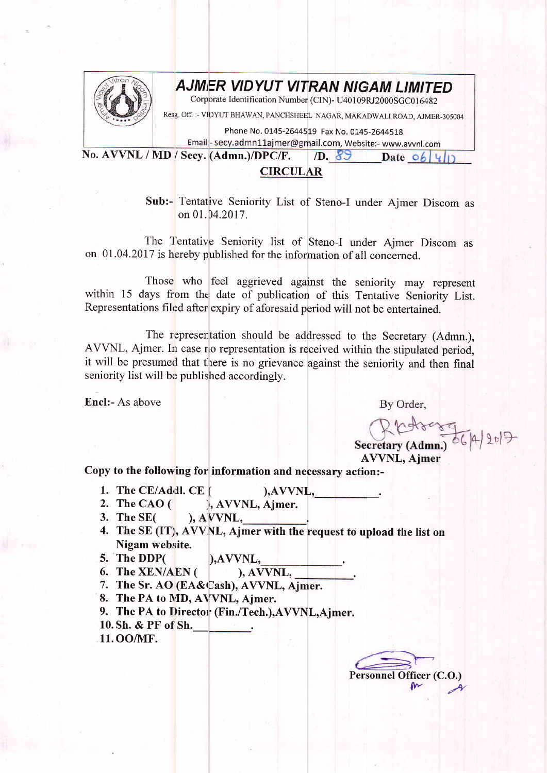

## **AJMER VIDYUT VITRAN NIGAM LIMITED**

Corporate Identification Number (CIN)- U40109RJ2000SGC016482

Resg off :- vIDYUT BHAWAN, PANCHSHEEL NAGAR, MAKADWALT ROAD, AJMER-305004

Phone No. 0145-2644519 Fax No. 0145-2644518

Email:- secy.admn11ajmer@gmail.com, Website:- www.avvnl.com No. AVVNL / MD / Secy. (Admn.)/DPC/F. D.  $89$  Date of 4/1

## CIRCULAR

Sub:- Tentative Seniority List of Steno-I under Ajmer Discom as on 01.04.2017.

The Tentative Seniority list of Steno-I under Ajmer Discom as on 01 .04.2017 is hereby published for the information of all concerned.

Those who feel aggrieved against the seniority may represent within 15 days from the, date of publication of this Tentative Seniority List. Representations filed after expiry of aforesaid period will not be entertained.

The representation should be addressed to the Secretary (Admn.), AVVNL, Ajmer. In case no representation is received within the stipulated period, it will be presumed that there is no grievance against the seniority and then final seniority list will be published accordingly.

Encl:- As above

By Order,

Secretary (Admn.) 86/4/2017

**AVVNL**, Ajmer

Copy to the following for information and necessary action:-

- 1. The CE/Addl. CE  $($  ), AVVNL,  $)$ .  $(M, N)$ , AVVNL,  $(M, N)$ , AVVNL, Ajmer.
- 2. The CAO  $($
- $\Lambda$  Section  $\Lambda$ 3. The SE(
- 4. The SE (IT), AVVNL, Ajmer with the request to upload the list on Nigam website.
- 5. The DDP( $\qquad \qquad$ ),AVVNL,<br>6. The XEN/AEN( $\qquad \qquad$ ), AVVNL,
- 6. The  $XEN/ AEN($
- 7. The Sr. AO (EA&Cash), AVVNL, Ajmer.
- 8. The PA to MD, AVVNL, Ajmer.
- 
- 9. The PA to Director (Fin./Tech.), AVVNL, Ajmer.
- 10. Sh. & PF of Sh.
- 11. OO/NIF.

Personnel Officer (C.O.)  $\frac{m}{2}$